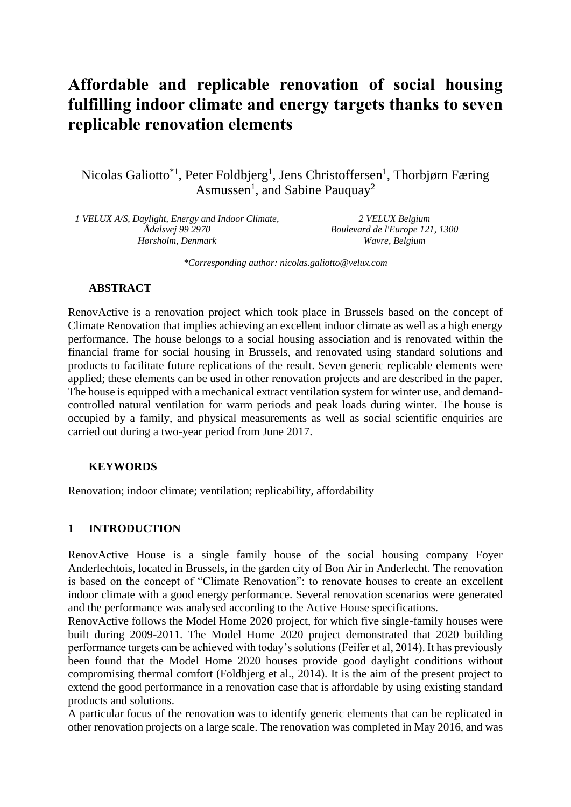# **Affordable and replicable renovation of social housing fulfilling indoor climate and energy targets thanks to seven replicable renovation elements**

Nicolas Galiotto<sup>\*1</sup>, Peter Foldbjerg<sup>1</sup>, Jens Christoffersen<sup>1</sup>, Thorbjørn Færing Asmussen<sup>1</sup>, and Sabine Pauquay<sup>2</sup>

*1 VELUX A/S, Daylight, Energy and Indoor Climate, Ådalsvej 99 2970 Hørsholm, Denmark*

*2 VELUX Belgium Boulevard de l'Europe 121, 1300 Wavre, Belgium*

*\*Corresponding author: nicolas.galiotto@velux.com*

### **ABSTRACT**

RenovActive is a renovation project which took place in Brussels based on the concept of Climate Renovation that implies achieving an excellent indoor climate as well as a high energy performance. The house belongs to a social housing association and is renovated within the financial frame for social housing in Brussels, and renovated using standard solutions and products to facilitate future replications of the result. Seven generic replicable elements were applied; these elements can be used in other renovation projects and are described in the paper. The house is equipped with a mechanical extract ventilation system for winter use, and demandcontrolled natural ventilation for warm periods and peak loads during winter. The house is occupied by a family, and physical measurements as well as social scientific enquiries are carried out during a two-year period from June 2017.

### **KEYWORDS**

Renovation; indoor climate; ventilation; replicability, affordability

### **1 INTRODUCTION**

RenovActive House is a single family house of the social housing company Foyer Anderlechtois, located in Brussels, in the garden city of Bon Air in Anderlecht. The renovation is based on the concept of "Climate Renovation": to renovate houses to create an excellent indoor climate with a good energy performance. Several renovation scenarios were generated and the performance was analysed according to the Active House specifications.

RenovActive follows the Model Home 2020 project, for which five single-family houses were built during 2009-2011. The Model Home 2020 project demonstrated that 2020 building performance targets can be achieved with today's solutions (Feifer et al, 2014). It has previously been found that the Model Home 2020 houses provide good daylight conditions without compromising thermal comfort (Foldbjerg et al., 2014). It is the aim of the present project to extend the good performance in a renovation case that is affordable by using existing standard products and solutions.

A particular focus of the renovation was to identify generic elements that can be replicated in other renovation projects on a large scale. The renovation was completed in May 2016, and was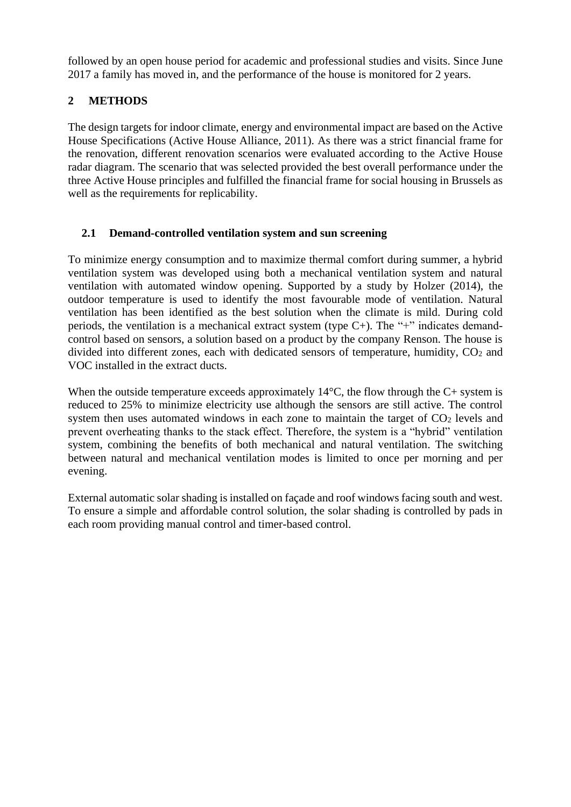followed by an open house period for academic and professional studies and visits. Since June 2017 a family has moved in, and the performance of the house is monitored for 2 years.

# **2 METHODS**

The design targets for indoor climate, energy and environmental impact are based on the Active House Specifications (Active House Alliance, 2011). As there was a strict financial frame for the renovation, different renovation scenarios were evaluated according to the Active House radar diagram. The scenario that was selected provided the best overall performance under the three Active House principles and fulfilled the financial frame for social housing in Brussels as well as the requirements for replicability.

# **2.1 Demand-controlled ventilation system and sun screening**

To minimize energy consumption and to maximize thermal comfort during summer, a hybrid ventilation system was developed using both a mechanical ventilation system and natural ventilation with automated window opening. Supported by a study by Holzer (2014), the outdoor temperature is used to identify the most favourable mode of ventilation. Natural ventilation has been identified as the best solution when the climate is mild. During cold periods, the ventilation is a mechanical extract system (type C+). The "+" indicates demandcontrol based on sensors, a solution based on a product by the company Renson. The house is divided into different zones, each with dedicated sensors of temperature, humidity,  $CO<sub>2</sub>$  and VOC installed in the extract ducts.

When the outside temperature exceeds approximately  $14^{\circ}$ C, the flow through the C+ system is reduced to 25% to minimize electricity use although the sensors are still active. The control system then uses automated windows in each zone to maintain the target of  $CO<sub>2</sub>$  levels and prevent overheating thanks to the stack effect. Therefore, the system is a "hybrid" ventilation system, combining the benefits of both mechanical and natural ventilation. The switching between natural and mechanical ventilation modes is limited to once per morning and per evening.

External automatic solar shading is installed on façade and roof windows facing south and west. To ensure a simple and affordable control solution, the solar shading is controlled by pads in each room providing manual control and timer-based control.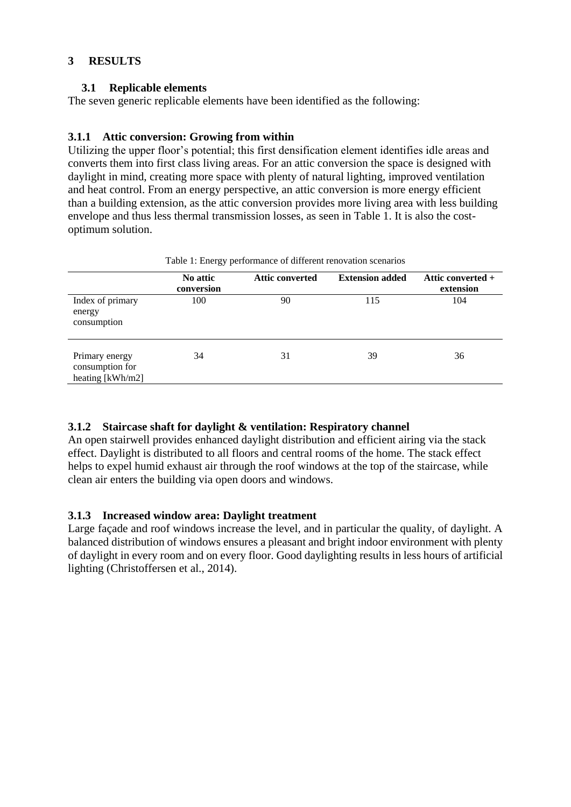### **3 RESULTS**

### **3.1 Replicable elements**

The seven generic replicable elements have been identified as the following:

### **3.1.1 Attic conversion: Growing from within**

Utilizing the upper floor's potential; this first densification element identifies idle areas and converts them into first class living areas. For an attic conversion the space is designed with daylight in mind, creating more space with plenty of natural lighting, improved ventilation and heat control. From an energy perspective, an attic conversion is more energy efficient than a building extension, as the attic conversion provides more living area with less building envelope and thus less thermal transmission losses, as seen in Table 1. It is also the costoptimum solution.

|                                                       | Table 1: Energy performance of different renovation scenarios |                        |                        |                                  |  |
|-------------------------------------------------------|---------------------------------------------------------------|------------------------|------------------------|----------------------------------|--|
|                                                       | No attic<br>conversion                                        | <b>Attic converted</b> | <b>Extension added</b> | Attic converted $+$<br>extension |  |
| Index of primary<br>energy<br>consumption             | 100                                                           | 90                     | 115                    | 104                              |  |
| Primary energy<br>consumption for<br>heating [kWh/m2] | 34                                                            | 31                     | 39                     | 36                               |  |

Table 1: Energy performance of different renovation scenarios

### **3.1.2 Staircase shaft for daylight & ventilation: Respiratory channel**

An open stairwell provides enhanced daylight distribution and efficient airing via the stack effect. Daylight is distributed to all floors and central rooms of the home. The stack effect helps to expel humid exhaust air through the roof windows at the top of the staircase, while clean air enters the building via open doors and windows.

### **3.1.3 Increased window area: Daylight treatment**

Large façade and roof windows increase the level, and in particular the quality, of daylight. A balanced distribution of windows ensures a pleasant and bright indoor environment with plenty of daylight in every room and on every floor. Good daylighting results in less hours of artificial lighting (Christoffersen et al., 2014).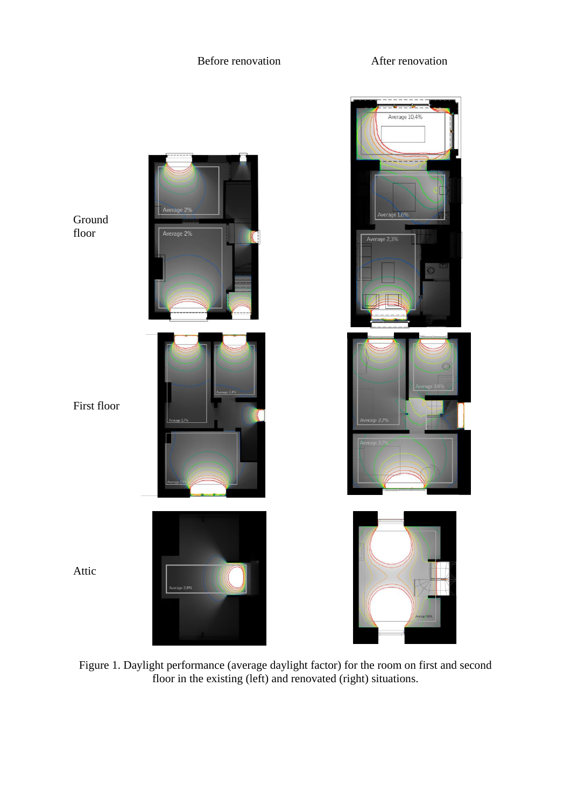### Before renovation **After renovation**



Figure 1. Daylight performance (average daylight factor) for the room on first and second floor in the existing (left) and renovated (right) situations.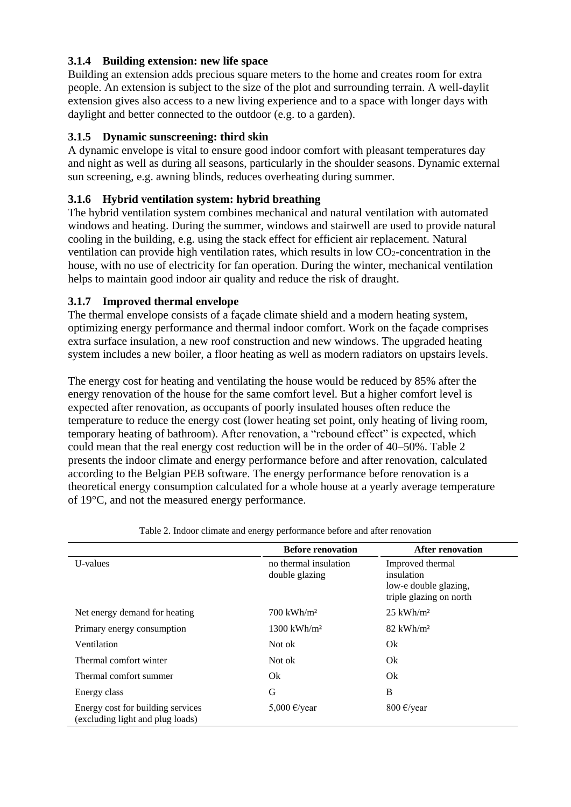### **3.1.4 Building extension: new life space**

Building an extension adds precious square meters to the home and creates room for extra people. An extension is subject to the size of the plot and surrounding terrain. A well-daylit extension gives also access to a new living experience and to a space with longer days with daylight and better connected to the outdoor (e.g. to a garden).

# **3.1.5 Dynamic sunscreening: third skin**

A dynamic envelope is vital to ensure good indoor comfort with pleasant temperatures day and night as well as during all seasons, particularly in the shoulder seasons. Dynamic external sun screening, e.g. awning blinds, reduces overheating during summer.

# **3.1.6 Hybrid ventilation system: hybrid breathing**

The hybrid ventilation system combines mechanical and natural ventilation with automated windows and heating. During the summer, windows and stairwell are used to provide natural cooling in the building, e.g. using the stack effect for efficient air replacement. Natural ventilation can provide high ventilation rates, which results in low  $CO<sub>2</sub>$ -concentration in the house, with no use of electricity for fan operation. During the winter, mechanical ventilation helps to maintain good indoor air quality and reduce the risk of draught.

# **3.1.7 Improved thermal envelope**

The thermal envelope consists of a façade climate shield and a modern heating system, optimizing energy performance and thermal indoor comfort. Work on the façade comprises extra surface insulation, a new roof construction and new windows. The upgraded heating system includes a new boiler, a floor heating as well as modern radiators on upstairs levels.

The energy cost for heating and ventilating the house would be reduced by 85% after the energy renovation of the house for the same comfort level. But a higher comfort level is expected after renovation, as occupants of poorly insulated houses often reduce the temperature to reduce the energy cost (lower heating set point, only heating of living room, temporary heating of bathroom). After renovation, a "rebound effect" is expected, which could mean that the real energy cost reduction will be in the order of 40–50%. Table 2 presents the indoor climate and energy performance before and after renovation, calculated according to the Belgian PEB software. The energy performance before renovation is a theoretical energy consumption calculated for a whole house at a yearly average temperature of 19°C, and not the measured energy performance.

|                                                                       | <b>Before renovation</b>                | <b>After renovation</b>                                                            |
|-----------------------------------------------------------------------|-----------------------------------------|------------------------------------------------------------------------------------|
| U-values                                                              | no thermal insulation<br>double glazing | Improved thermal<br>insulation<br>low-e double glazing,<br>triple glazing on north |
| Net energy demand for heating                                         | $700$ kWh/m <sup>2</sup>                | $25$ kWh/m <sup>2</sup>                                                            |
| Primary energy consumption                                            | $1300 \text{ kWh/m}^2$                  | $82$ kWh/m <sup>2</sup>                                                            |
| Ventilation                                                           | Not ok                                  | Ok                                                                                 |
| Thermal comfort winter                                                | Not ok                                  | Ok                                                                                 |
| Thermal comfort summer                                                | Ok                                      | Ok                                                                                 |
| Energy class                                                          | G                                       | B                                                                                  |
| Energy cost for building services<br>(excluding light and plug loads) | 5,000 $\epsilon$ /year                  | 800 $\epsilon$ /year                                                               |

Table 2. Indoor climate and energy performance before and after renovation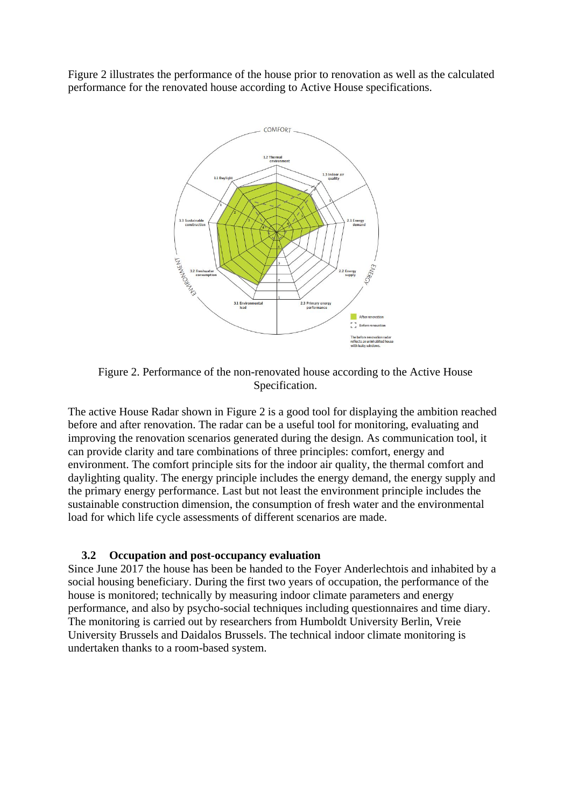Figure 2 illustrates the performance of the house prior to renovation as well as the calculated performance for the renovated house according to Active House specifications.



Figure 2. Performance of the non-renovated house according to the Active House Specification.

The active House Radar shown in Figure 2 is a good tool for displaying the ambition reached before and after renovation. The radar can be a useful tool for monitoring, evaluating and improving the renovation scenarios generated during the design. As communication tool, it can provide clarity and tare combinations of three principles: comfort, energy and environment. The comfort principle sits for the indoor air quality, the thermal comfort and daylighting quality. The energy principle includes the energy demand, the energy supply and the primary energy performance. Last but not least the environment principle includes the sustainable construction dimension, the consumption of fresh water and the environmental load for which life cycle assessments of different scenarios are made.

### **3.2 Occupation and post-occupancy evaluation**

Since June 2017 the house has been be handed to the Foyer Anderlechtois and inhabited by a social housing beneficiary. During the first two years of occupation, the performance of the house is monitored; technically by measuring indoor climate parameters and energy performance, and also by psycho-social techniques including questionnaires and time diary. The monitoring is carried out by researchers from Humboldt University Berlin, Vreie University Brussels and Daidalos Brussels. The technical indoor climate monitoring is undertaken thanks to a room-based system.